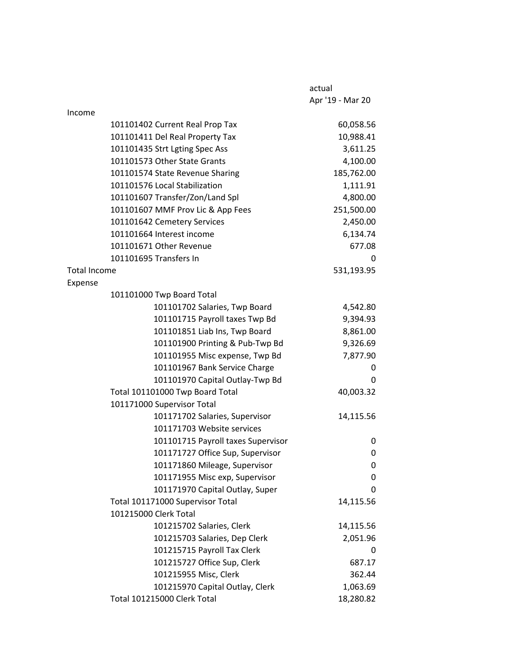|                     |                                    | actual           |
|---------------------|------------------------------------|------------------|
|                     |                                    | Apr '19 - Mar 20 |
| Income              |                                    |                  |
|                     | 101101402 Current Real Prop Tax    | 60,058.56        |
|                     | 101101411 Del Real Property Tax    | 10,988.41        |
|                     | 101101435 Strt Lgting Spec Ass     | 3,611.25         |
|                     | 101101573 Other State Grants       | 4,100.00         |
|                     | 101101574 State Revenue Sharing    | 185,762.00       |
|                     | 101101576 Local Stabilization      | 1,111.91         |
|                     | 101101607 Transfer/Zon/Land Spl    | 4,800.00         |
|                     | 101101607 MMF Prov Lic & App Fees  | 251,500.00       |
|                     | 101101642 Cemetery Services        | 2,450.00         |
|                     | 101101664 Interest income          | 6,134.74         |
|                     | 101101671 Other Revenue            | 677.08           |
|                     | 101101695 Transfers In             | 0                |
| <b>Total Income</b> |                                    | 531,193.95       |
| Expense             |                                    |                  |
|                     | 101101000 Twp Board Total          |                  |
|                     | 101101702 Salaries, Twp Board      | 4,542.80         |
|                     | 101101715 Payroll taxes Twp Bd     | 9,394.93         |
|                     | 101101851 Liab Ins, Twp Board      | 8,861.00         |
|                     | 101101900 Printing & Pub-Twp Bd    | 9,326.69         |
|                     | 101101955 Misc expense, Twp Bd     | 7,877.90         |
|                     | 101101967 Bank Service Charge      | 0                |
|                     | 101101970 Capital Outlay-Twp Bd    | 0                |
|                     | Total 101101000 Twp Board Total    | 40,003.32        |
|                     | 101171000 Supervisor Total         |                  |
|                     | 101171702 Salaries, Supervisor     | 14,115.56        |
|                     | 101171703 Website services         |                  |
|                     | 101101715 Payroll taxes Supervisor | 0                |
|                     | 101171727 Office Sup, Supervisor   | 0                |
|                     | 101171860 Mileage, Supervisor      | 0                |
|                     | 101171955 Misc exp, Supervisor     | 0                |
|                     | 101171970 Capital Outlay, Super    | 0                |
|                     | Total 101171000 Supervisor Total   | 14,115.56        |
|                     | 101215000 Clerk Total              |                  |
|                     | 101215702 Salaries, Clerk          | 14,115.56        |
|                     | 101215703 Salaries, Dep Clerk      | 2,051.96         |
|                     | 101215715 Payroll Tax Clerk        | 0                |
|                     | 101215727 Office Sup, Clerk        | 687.17           |
|                     | 101215955 Misc, Clerk              | 362.44           |
|                     | 101215970 Capital Outlay, Clerk    | 1,063.69         |
|                     | Total 101215000 Clerk Total        | 18,280.82        |
|                     |                                    |                  |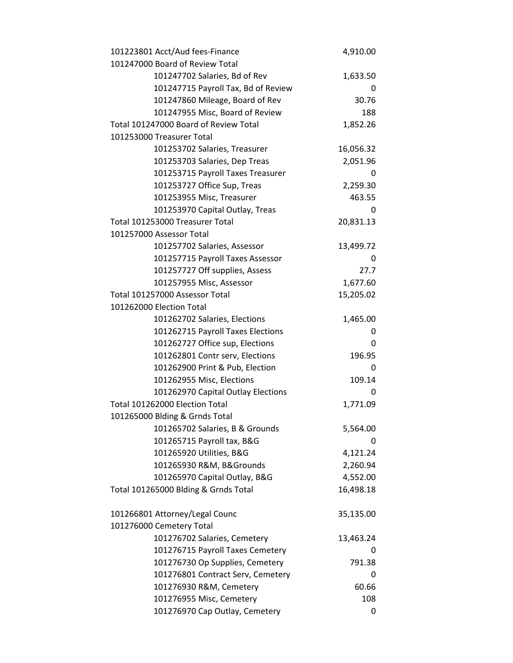| 101223801 Acct/Aud fees-Finance       | 4,910.00  |
|---------------------------------------|-----------|
| 101247000 Board of Review Total       |           |
| 101247702 Salaries, Bd of Rev         | 1,633.50  |
| 101247715 Payroll Tax, Bd of Review   | 0         |
| 101247860 Mileage, Board of Rev       | 30.76     |
| 101247955 Misc, Board of Review       | 188       |
| Total 101247000 Board of Review Total | 1,852.26  |
| 101253000 Treasurer Total             |           |
| 101253702 Salaries, Treasurer         | 16,056.32 |
| 101253703 Salaries, Dep Treas         | 2,051.96  |
| 101253715 Payroll Taxes Treasurer     | 0         |
| 101253727 Office Sup, Treas           | 2,259.30  |
| 101253955 Misc, Treasurer             | 463.55    |
| 101253970 Capital Outlay, Treas       | 0         |
| Total 101253000 Treasurer Total       | 20,831.13 |
| 101257000 Assessor Total              |           |
| 101257702 Salaries, Assessor          | 13,499.72 |
| 101257715 Payroll Taxes Assessor      | 0         |
| 101257727 Off supplies, Assess        | 27.7      |
| 101257955 Misc, Assessor              | 1,677.60  |
| Total 101257000 Assessor Total        | 15,205.02 |
| 101262000 Election Total              |           |
| 101262702 Salaries, Elections         | 1,465.00  |
| 101262715 Payroll Taxes Elections     | 0         |
| 101262727 Office sup, Elections       | 0         |
| 101262801 Contr serv, Elections       | 196.95    |
| 101262900 Print & Pub, Election       | 0         |
| 101262955 Misc, Elections             | 109.14    |
| 101262970 Capital Outlay Elections    | 0         |
| Total 101262000 Election Total        | 1,771.09  |
| 101265000 Blding & Grnds Total        |           |
| 101265702 Salaries, B & Grounds       | 5,564.00  |
| 101265715 Payroll tax, B&G            | 0         |
| 101265920 Utilities, B&G              | 4,121.24  |
| 101265930 R&M, B&Grounds              | 2,260.94  |
| 101265970 Capital Outlay, B&G         | 4,552.00  |
| Total 101265000 Blding & Grnds Total  | 16,498.18 |
| 101266801 Attorney/Legal Counc        | 35,135.00 |
| 101276000 Cemetery Total              |           |
| 101276702 Salaries, Cemetery          | 13,463.24 |
| 101276715 Payroll Taxes Cemetery      |           |
| 101276730 Op Supplies, Cemetery       | 791.38    |
| 101276801 Contract Serv, Cemetery     | 0         |
| 101276930 R&M, Cemetery               | 60.66     |
| 101276955 Misc, Cemetery              | 108       |
| 101276970 Cap Outlay, Cemetery        | 0         |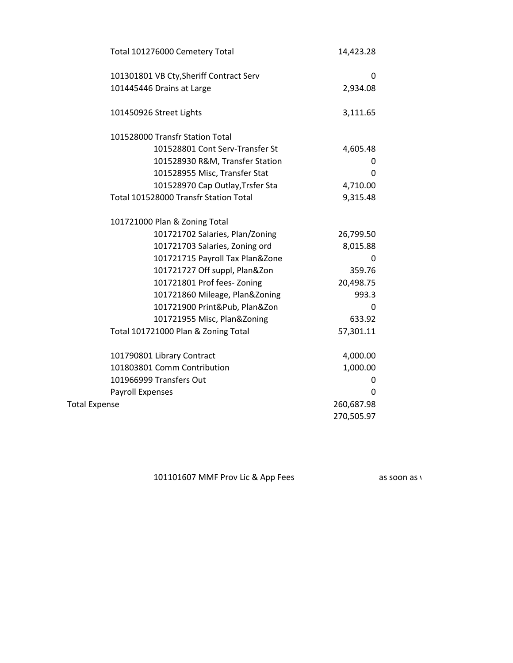| Total 101276000 Cemetery Total          | 14,423.28  |
|-----------------------------------------|------------|
| 101301801 VB Cty, Sheriff Contract Serv | 0          |
| 101445446 Drains at Large               | 2,934.08   |
| 101450926 Street Lights                 | 3,111.65   |
| 101528000 Transfr Station Total         |            |
| 101528801 Cont Serv-Transfer St         | 4,605.48   |
| 101528930 R&M, Transfer Station         | 0          |
| 101528955 Misc, Transfer Stat           | 0          |
| 101528970 Cap Outlay, Trsfer Sta        | 4,710.00   |
| Total 101528000 Transfr Station Total   | 9,315.48   |
| 101721000 Plan & Zoning Total           |            |
| 101721702 Salaries, Plan/Zoning         | 26,799.50  |
| 101721703 Salaries, Zoning ord          | 8,015.88   |
| 101721715 Payroll Tax Plan&Zone         | 0          |
| 101721727 Off suppl, Plan&Zon           | 359.76     |
| 101721801 Prof fees-Zoning              | 20,498.75  |
| 101721860 Mileage, Plan&Zoning          | 993.3      |
| 101721900 Print&Pub, Plan&Zon           | 0          |
| 101721955 Misc, Plan&Zoning             | 633.92     |
| Total 101721000 Plan & Zoning Total     | 57,301.11  |
| 101790801 Library Contract              | 4,000.00   |
| 101803801 Comm Contribution             | 1,000.00   |
| 101966999 Transfers Out                 | 0          |
| Payroll Expenses                        | 0          |
| <b>Total Expense</b>                    | 260,687.98 |
|                                         | 270,505.97 |

101101607 MMF Prov Lic & App Fees as soon as we are accurate number as new account as new account with separate checking account with separate checking account with separate checking account with separate checking account.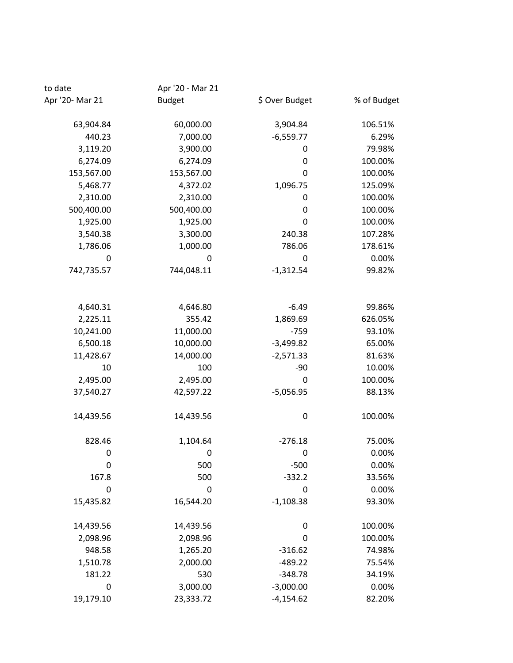| to date         | Apr '20 - Mar 21 |                |             |
|-----------------|------------------|----------------|-------------|
| Apr '20- Mar 21 | <b>Budget</b>    | \$ Over Budget | % of Budget |
| 63,904.84       | 60,000.00        | 3,904.84       | 106.51%     |
| 440.23          | 7,000.00         | $-6,559.77$    | 6.29%       |
| 3,119.20        | 3,900.00         | 0              | 79.98%      |
| 6,274.09        | 6,274.09         | 0              | 100.00%     |
| 153,567.00      | 153,567.00       | 0              | 100.00%     |
| 5,468.77        | 4,372.02         | 1,096.75       | 125.09%     |
| 2,310.00        | 2,310.00         | 0              | 100.00%     |
| 500,400.00      | 500,400.00       | 0              | 100.00%     |
| 1,925.00        | 1,925.00         | 0              | 100.00%     |
| 3,540.38        | 3,300.00         | 240.38         | 107.28%     |
| 1,786.06        | 1,000.00         | 786.06         | 178.61%     |
| 0               | $\mathbf 0$      | 0              | 0.00%       |
| 742,735.57      | 744,048.11       | $-1,312.54$    | 99.82%      |
| 4,640.31        | 4,646.80         | $-6.49$        | 99.86%      |
| 2,225.11        | 355.42           | 1,869.69       | 626.05%     |
| 10,241.00       | 11,000.00        | $-759$         | 93.10%      |
| 6,500.18        | 10,000.00        | $-3,499.82$    | 65.00%      |
| 11,428.67       | 14,000.00        | $-2,571.33$    | 81.63%      |
| 10              | 100              | $-90$          | 10.00%      |
| 2,495.00        | 2,495.00         | 0              | 100.00%     |
| 37,540.27       | 42,597.22        | $-5,056.95$    | 88.13%      |
| 14,439.56       | 14,439.56        | 0              | 100.00%     |
| 828.46          | 1,104.64         | $-276.18$      | 75.00%      |
| 0               | 0                | 0              | 0.00%       |
| 0               | 500              | $-500$         | 0.00%       |
| 167.8           | 500              | $-332.2$       | 33.56%      |
| 0               | $\mathbf 0$      | $\mathbf 0$    | 0.00%       |
| 15,435.82       | 16,544.20        | $-1,108.38$    | 93.30%      |
| 14,439.56       | 14,439.56        | $\pmb{0}$      | 100.00%     |
| 2,098.96        | 2,098.96         | 0              | 100.00%     |
| 948.58          | 1,265.20         | $-316.62$      | 74.98%      |
| 1,510.78        | 2,000.00         | $-489.22$      | 75.54%      |
| 181.22          | 530              | $-348.78$      | 34.19%      |
| 0               | 3,000.00         | $-3,000.00$    | 0.00%       |
| 19,179.10       | 23,333.72        | $-4,154.62$    | 82.20%      |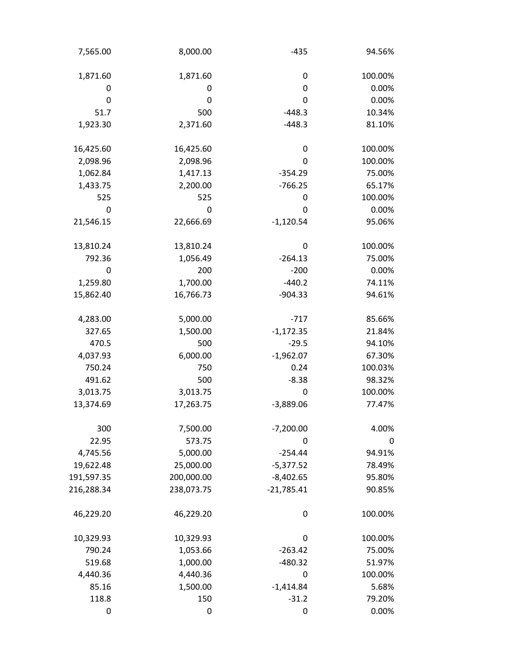| 7,565.00   | 8,000.00   | $-435$       | 94.56%  |
|------------|------------|--------------|---------|
| 1,871.60   | 1,871.60   | 0            | 100.00% |
| 0          | 0          | 0            | 0.00%   |
| 0          | 0          | 0            | 0.00%   |
| 51.7       | 500        | $-448.3$     | 10.34%  |
| 1,923.30   | 2,371.60   | $-448.3$     | 81.10%  |
| 16,425.60  | 16,425.60  | 0            | 100.00% |
| 2,098.96   | 2,098.96   | 0            | 100.00% |
| 1,062.84   | 1,417.13   | $-354.29$    | 75.00%  |
| 1,433.75   | 2,200.00   | $-766.25$    | 65.17%  |
| 525        | 525        | 0            | 100.00% |
| 0          | 0          | 0            | 0.00%   |
| 21,546.15  | 22,666.69  | $-1,120.54$  | 95.06%  |
| 13,810.24  | 13,810.24  | 0            | 100.00% |
| 792.36     | 1,056.49   | $-264.13$    | 75.00%  |
| 0          | 200        | $-200$       | 0.00%   |
| 1,259.80   | 1,700.00   | $-440.2$     | 74.11%  |
| 15,862.40  | 16,766.73  | $-904.33$    | 94.61%  |
| 4,283.00   | 5,000.00   | $-717$       | 85.66%  |
| 327.65     | 1,500.00   | $-1,172.35$  | 21.84%  |
| 470.5      | 500        | $-29.5$      | 94.10%  |
| 4,037.93   | 6,000.00   | $-1,962.07$  | 67.30%  |
| 750.24     | 750        | 0.24         | 100.03% |
| 491.62     | 500        | $-8.38$      | 98.32%  |
| 3,013.75   | 3,013.75   | 0            | 100.00% |
| 13,374.69  | 17,263.75  | $-3,889.06$  | 77.47%  |
| 300        | 7,500.00   | $-7,200.00$  | 4.00%   |
| 22.95      | 573.75     | 0            | 0       |
| 4,745.56   | 5,000.00   | $-254.44$    | 94.91%  |
| 19,622.48  | 25,000.00  | $-5,377.52$  | 78.49%  |
| 191,597.35 | 200,000.00 | $-8,402.65$  | 95.80%  |
| 216,288.34 | 238,073.75 | $-21,785.41$ | 90.85%  |
| 46,229.20  | 46,229.20  | 0            | 100.00% |
| 10,329.93  | 10,329.93  | 0            | 100.00% |
| 790.24     | 1,053.66   | $-263.42$    | 75.00%  |
| 519.68     | 1,000.00   | $-480.32$    | 51.97%  |
| 4,440.36   | 4,440.36   | 0            | 100.00% |
| 85.16      | 1,500.00   | $-1,414.84$  | 5.68%   |
| 118.8      | 150        | $-31.2$      | 79.20%  |
| 0          | 0          | 0            | 0.00%   |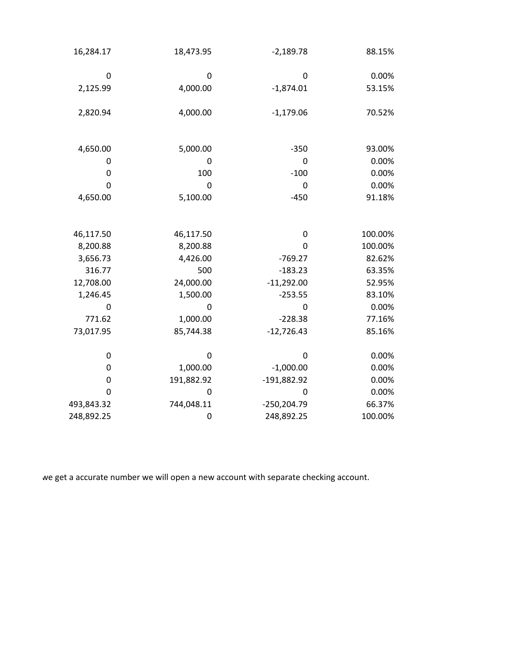| 16,284.17  | 18,473.95   | $-2,189.78$   | 88.15%  |
|------------|-------------|---------------|---------|
| 0          | 0           | $\mathbf 0$   | 0.00%   |
| 2,125.99   | 4,000.00    | $-1,874.01$   | 53.15%  |
| 2,820.94   | 4,000.00    | $-1,179.06$   | 70.52%  |
| 4,650.00   | 5,000.00    | $-350$        | 93.00%  |
| 0          | 0           | 0             | 0.00%   |
| 0          | 100         | $-100$        | 0.00%   |
| 0          | 0           | 0             | 0.00%   |
| 4,650.00   | 5,100.00    | $-450$        | 91.18%  |
| 46,117.50  | 46,117.50   | 0             | 100.00% |
| 8,200.88   | 8,200.88    | $\mathbf 0$   | 100.00% |
| 3,656.73   | 4,426.00    | $-769.27$     | 82.62%  |
| 316.77     | 500         | $-183.23$     | 63.35%  |
| 12,708.00  | 24,000.00   | $-11,292.00$  | 52.95%  |
| 1,246.45   | 1,500.00    | $-253.55$     | 83.10%  |
| 0          | $\mathbf 0$ | 0             | 0.00%   |
| 771.62     | 1,000.00    | $-228.38$     | 77.16%  |
| 73,017.95  | 85,744.38   | $-12,726.43$  | 85.16%  |
| 0          | 0           | 0             | 0.00%   |
| 0          | 1,000.00    | $-1,000.00$   | 0.00%   |
| 0          | 191,882.92  | $-191,882.92$ | 0.00%   |
| 0          | 0           | 0             | 0.00%   |
| 493,843.32 | 744,048.11  | $-250,204.79$ | 66.37%  |
| 248,892.25 | 0           | 248,892.25    | 100.00% |

we get a accurate number we will open a new account with separate checking account.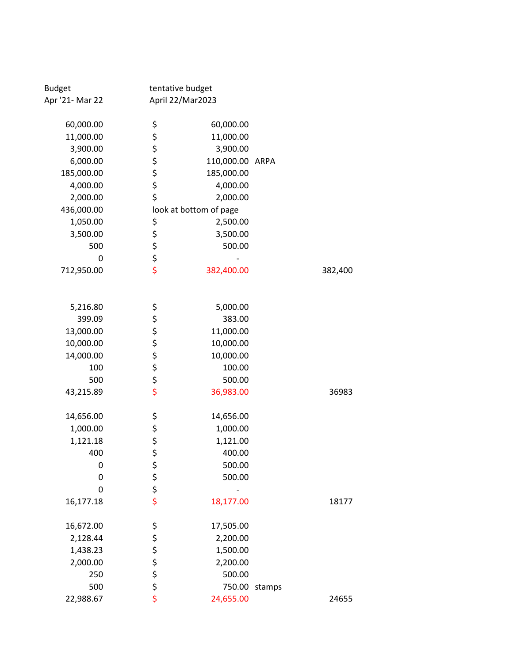| <b>Budget</b>   |             | tentative budget       |        |         |
|-----------------|-------------|------------------------|--------|---------|
| Apr '21- Mar 22 |             | April 22/Mar2023       |        |         |
| 60,000.00       | \$          | 60,000.00              |        |         |
| 11,000.00       |             | 11,000.00              |        |         |
| 3,900.00        |             | 3,900.00               |        |         |
| 6,000.00        |             | 110,000.00 ARPA        |        |         |
| 185,000.00      | ぐぐみ         | 185,000.00             |        |         |
| 4,000.00        |             | 4,000.00               |        |         |
| 2,000.00        | \$          | 2,000.00               |        |         |
| 436,000.00      |             | look at bottom of page |        |         |
| 1,050.00        |             | 2,500.00               |        |         |
| 3,500.00        |             | 3,500.00               |        |         |
| 500             |             | 500.00                 |        |         |
| 0               | ちちちち        |                        |        |         |
| 712,950.00      |             | 382,400.00             |        | 382,400 |
|                 |             |                        |        |         |
| 5,216.80        | ぐぐぐぐぐ       | 5,000.00               |        |         |
| 399.09          |             | 383.00                 |        |         |
| 13,000.00       |             | 11,000.00              |        |         |
| 10,000.00       |             | 10,000.00              |        |         |
| 14,000.00       |             | 10,000.00              |        |         |
| 100             |             | 100.00                 |        |         |
| 500             |             | 500.00                 |        |         |
| 43,215.89       |             | 36,983.00              |        | 36983   |
| 14,656.00       | \$          | 14,656.00              |        |         |
| 1,000.00        |             | 1,000.00               |        |         |
| 1,121.18        | \$\$\$      | 1,121.00               |        |         |
| 400             |             | 400.00                 |        |         |
| 0               |             | 500.00                 |        |         |
| 0               |             | 500.00                 |        |         |
| 0               | \$ \$ \$ \$ |                        |        |         |
| 16,177.18       |             | 18,177.00              |        | 18177   |
| 16,672.00       |             | 17,505.00              |        |         |
| 2,128.44        |             | 2,200.00               |        |         |
| 1,438.23        |             | 1,500.00               |        |         |
| 2,000.00        | ぐぐぐぐ        | 2,200.00               |        |         |
| 250             |             | 500.00                 |        |         |
| 500             |             | 750.00                 | stamps |         |
| 22,988.67       |             | 24,655.00              |        | 24655   |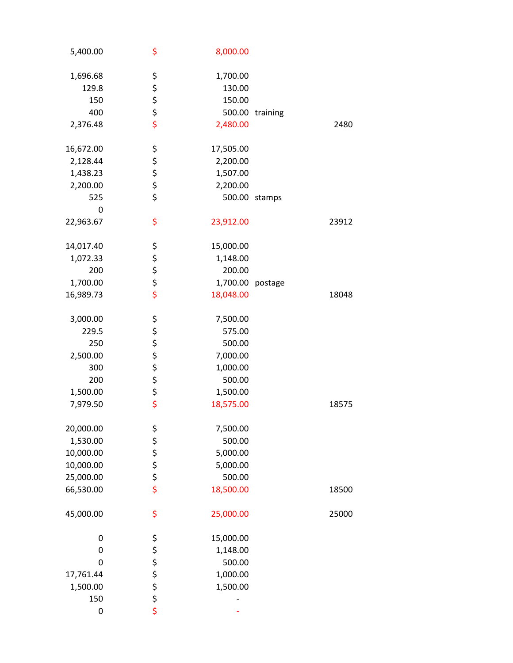|       |                 | 8,000.00  | \$       | 5,400.00  |
|-------|-----------------|-----------|----------|-----------|
|       |                 | 1,700.00  | \$       | 1,696.68  |
|       |                 | 130.00    |          | 129.8     |
|       |                 | 150.00    | \$\$\$   | 150       |
|       | 500.00 training |           |          | 400       |
| 2480  |                 |           | \$       |           |
|       |                 | 2,480.00  |          | 2,376.48  |
|       |                 | 17,505.00 | \$       | 16,672.00 |
|       |                 | 2,200.00  |          | 2,128.44  |
|       |                 | 1,507.00  | \$\$\$   | 1,438.23  |
|       |                 | 2,200.00  |          | 2,200.00  |
|       | stamps          | 500.00    | \$       | 525       |
|       |                 |           |          | 0         |
| 23912 |                 | 23,912.00 | \$       | 22,963.67 |
|       |                 | 15,000.00 | \$       | 14,017.40 |
|       |                 | 1,148.00  |          | 1,072.33  |
|       |                 | 200.00    | \$\$\$\$ | 200       |
|       |                 | 1,700.00  |          | 1,700.00  |
|       | postage         |           |          |           |
| 18048 |                 | 18,048.00 |          | 16,989.73 |
|       |                 | 7,500.00  | \$       | 3,000.00  |
|       |                 | 575.00    |          | 229.5     |
|       |                 | 500.00    | ぐぐぐぐ     | 250       |
|       |                 | 7,000.00  |          | 2,500.00  |
|       |                 | 1,000.00  |          | 300       |
|       |                 | 500.00    |          | 200       |
|       |                 | 1,500.00  |          | 1,500.00  |
| 18575 |                 | 18,575.00 |          | 7,979.50  |
|       |                 |           |          |           |
|       |                 | 7,500.00  |          | 20,000.00 |
|       |                 | 500.00    | やなみな     | 1,530.00  |
|       |                 | 5,000.00  |          | 10,000.00 |
|       |                 | 5,000.00  |          | 10,000.00 |
|       |                 | 500.00    |          |           |
|       |                 |           |          | 25,000.00 |
| 18500 |                 | 18,500.00 |          | 66,530.00 |
| 25000 |                 | 25,000.00 | \$       | 45,000.00 |
|       |                 | 15,000.00 |          | 0         |
|       |                 | 1,148.00  | \$<br>\$ | 0         |
|       |                 | 500.00    |          | 0         |
|       |                 | 1,000.00  |          | 17,761.44 |
|       |                 | 1,500.00  |          | 1,500.00  |
|       |                 |           | ぐぐら      | 150       |
|       |                 |           |          | 0         |
|       |                 |           |          |           |